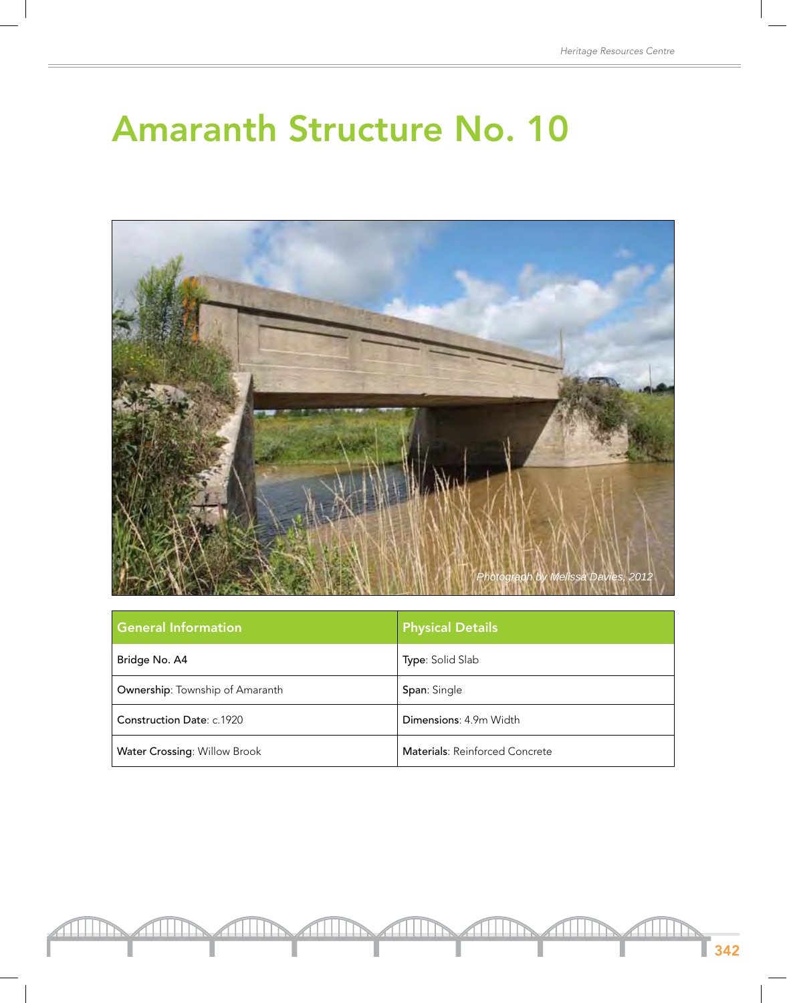## Amaranth Structure No. 10



| <b>General Information</b>          | <b>Physical Details</b>        |
|-------------------------------------|--------------------------------|
| Bridge No. A4                       | Type: Solid Slab               |
| Ownership: Township of Amaranth     | Span: Single                   |
| Construction Date: c.1920           | Dimensions: 4.9m Width         |
| <b>Water Crossing: Willow Brook</b> | Materials: Reinforced Concrete |

342